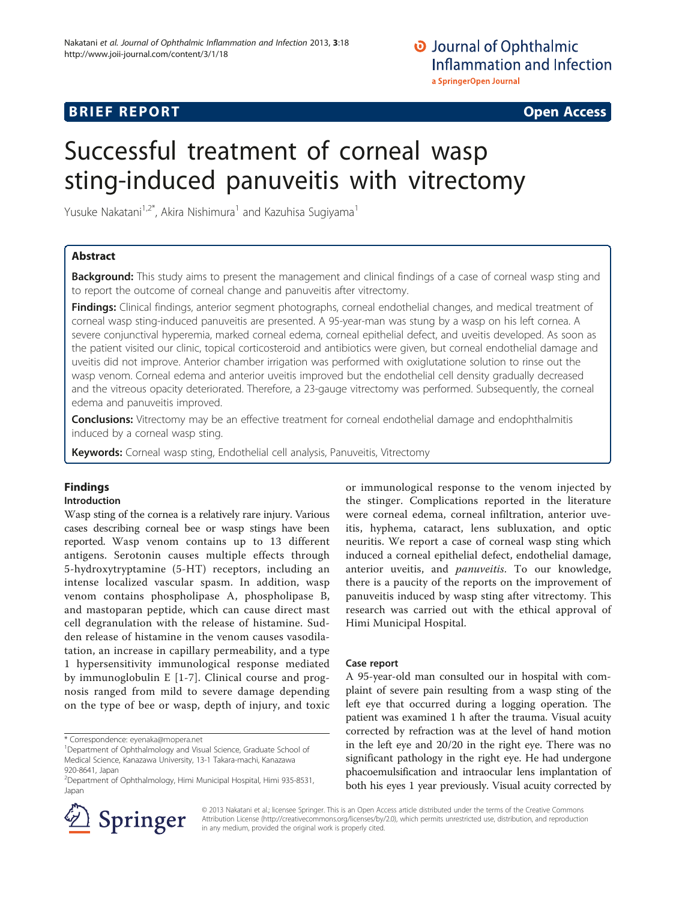# **BRIEF REPORT CONSTRUCTION CONSTRUCTION CONSTRUCTS**

# Successful treatment of corneal wasp sting-induced panuveitis with vitrectomy

Yusuke Nakatani $1.2^*$ , Akira Nishimura<sup>1</sup> and Kazuhisa Sugiyama<sup>1</sup>

# Abstract

Background: This study aims to present the management and clinical findings of a case of corneal wasp sting and to report the outcome of corneal change and panuveitis after vitrectomy.

Findings: Clinical findings, anterior segment photographs, corneal endothelial changes, and medical treatment of corneal wasp sting-induced panuveitis are presented. A 95-year-man was stung by a wasp on his left cornea. A severe conjunctival hyperemia, marked corneal edema, corneal epithelial defect, and uveitis developed. As soon as the patient visited our clinic, topical corticosteroid and antibiotics were given, but corneal endothelial damage and uveitis did not improve. Anterior chamber irrigation was performed with oxiglutatione solution to rinse out the wasp venom. Corneal edema and anterior uveitis improved but the endothelial cell density gradually decreased and the vitreous opacity deteriorated. Therefore, a 23-gauge vitrectomy was performed. Subsequently, the corneal edema and panuveitis improved.

**Conclusions:** Vitrectomy may be an effective treatment for corneal endothelial damage and endophthalmitis induced by a corneal wasp sting.

Keywords: Corneal wasp sting, Endothelial cell analysis, Panuveitis, Vitrectomy

# Findings

## Introduction

Wasp sting of the cornea is a relatively rare injury. Various cases describing corneal bee or wasp stings have been reported. Wasp venom contains up to 13 different antigens. Serotonin causes multiple effects through 5-hydroxytryptamine (5-HT) receptors, including an intense localized vascular spasm. In addition, wasp venom contains phospholipase A, phospholipase B, and mastoparan peptide, which can cause direct mast cell degranulation with the release of histamine. Sudden release of histamine in the venom causes vasodilatation, an increase in capillary permeability, and a type 1 hypersensitivity immunological response mediated by immunoglobulin E [\[1](#page-2-0)-[7](#page-2-0)]. Clinical course and prognosis ranged from mild to severe damage depending on the type of bee or wasp, depth of injury, and toxic

\* Correspondence: [eyenaka@mopera.net](mailto:eyenaka@mopera.net) <sup>1</sup>



## Case report

A 95-year-old man consulted our in hospital with complaint of severe pain resulting from a wasp sting of the left eye that occurred during a logging operation. The patient was examined 1 h after the trauma. Visual acuity corrected by refraction was at the level of hand motion in the left eye and 20/20 in the right eye. There was no significant pathology in the right eye. He had undergone phacoemulsification and intraocular lens implantation of both his eyes 1 year previously. Visual acuity corrected by



© 2013 Nakatani et al.; licensee Springer. This is an Open Access article distributed under the terms of the Creative Commons Attribution License [\(http://creativecommons.org/licenses/by/2.0\)](http://creativecommons.org/licenses/by/2.0), which permits unrestricted use, distribution, and reproduction in any medium, provided the original work is properly cited.

<sup>&</sup>lt;sup>1</sup>Department of Ophthalmology and Visual Science, Graduate School of Medical Science, Kanazawa University, 13-1 Takara-machi, Kanazawa 920-8641, Japan

<sup>2</sup> Department of Ophthalmology, Himi Municipal Hospital, Himi 935-8531, Japan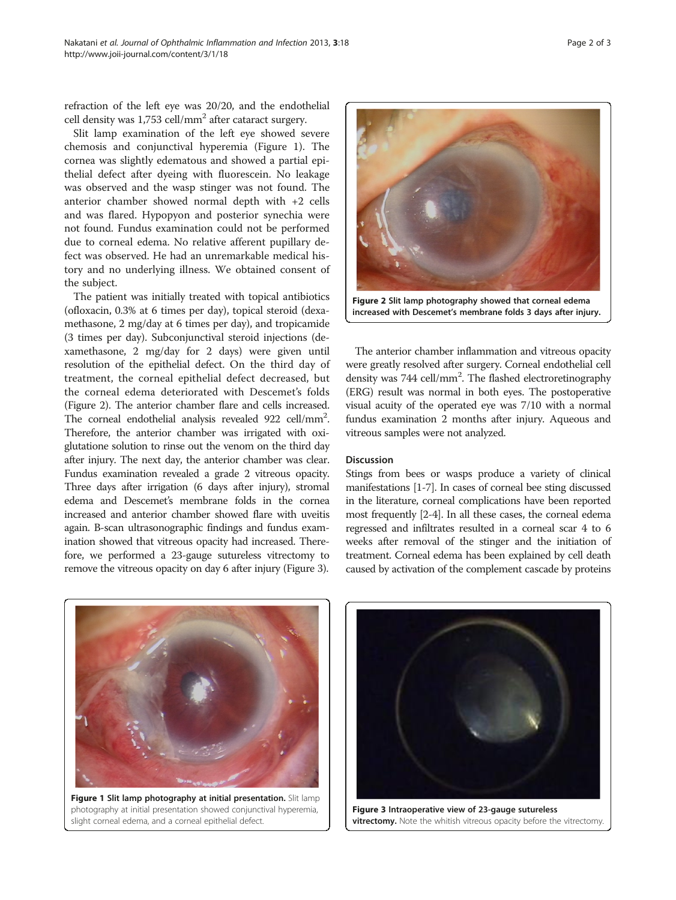refraction of the left eye was 20/20, and the endothelial cell density was  $1,753$  cell/mm<sup>2</sup> after cataract surgery.

Slit lamp examination of the left eye showed severe chemosis and conjunctival hyperemia (Figure 1). The cornea was slightly edematous and showed a partial epithelial defect after dyeing with fluorescein. No leakage was observed and the wasp stinger was not found. The anterior chamber showed normal depth with +2 cells and was flared. Hypopyon and posterior synechia were not found. Fundus examination could not be performed due to corneal edema. No relative afferent pupillary defect was observed. He had an unremarkable medical history and no underlying illness. We obtained consent of the subject.

The patient was initially treated with topical antibiotics (ofloxacin, 0.3% at 6 times per day), topical steroid (dexamethasone, 2 mg/day at 6 times per day), and tropicamide (3 times per day). Subconjunctival steroid injections (dexamethasone, 2 mg/day for 2 days) were given until resolution of the epithelial defect. On the third day of treatment, the corneal epithelial defect decreased, but the corneal edema deteriorated with Descemet's folds (Figure 2). The anterior chamber flare and cells increased. The corneal endothelial analysis revealed 922 cell/mm<sup>2</sup>. Therefore, the anterior chamber was irrigated with oxiglutatione solution to rinse out the venom on the third day after injury. The next day, the anterior chamber was clear. Fundus examination revealed a grade 2 vitreous opacity. Three days after irrigation (6 days after injury), stromal edema and Descemet's membrane folds in the cornea increased and anterior chamber showed flare with uveitis again. B-scan ultrasonographic findings and fundus examination showed that vitreous opacity had increased. Therefore, we performed a 23-gauge sutureless vitrectomy to remove the vitreous opacity on day 6 after injury (Figure 3).



The anterior chamber inflammation and vitreous opacity were greatly resolved after surgery. Corneal endothelial cell density was 744 cell/mm<sup>2</sup>. The flashed electroretinography (ERG) result was normal in both eyes. The postoperative visual acuity of the operated eye was 7/10 with a normal fundus examination 2 months after injury. Aqueous and vitreous samples were not analyzed.

## Discussion

Stings from bees or wasps produce a variety of clinical manifestations [\[1-7\]](#page-2-0). In cases of corneal bee sting discussed in the literature, corneal complications have been reported most frequently [\[2-4\]](#page-2-0). In all these cases, the corneal edema regressed and infiltrates resulted in a corneal scar 4 to 6 weeks after removal of the stinger and the initiation of treatment. Corneal edema has been explained by cell death caused by activation of the complement cascade by proteins



Figure 1 Slit lamp photography at initial presentation. Slit lamp photography at initial presentation showed conjunctival hyperemia, slight corneal edema, and a corneal epithelial defect.



Figure 3 Intraoperative view of 23-gauge sutureless vitrectomy. Note the whitish vitreous opacity before the vitrectomy.